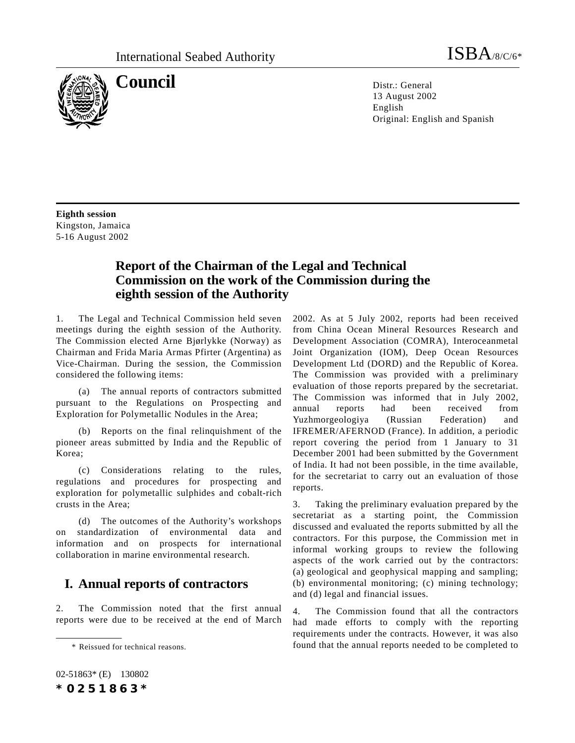

**Council** Distriction Distriction Distriction Distriction Distriction Distriction Distriction Distriction Distriction Distriction Distriction Distriction Distriction Distriction Distriction Distriction Distriction District 13 August 2002 English Original: English and Spanish

**Eighth session** Kingston, Jamaica 5-16 August 2002

# **Report of the Chairman of the Legal and Technical Commission on the work of the Commission during the eighth session of the Authority**

1. The Legal and Technical Commission held seven meetings during the eighth session of the Authority. The Commission elected Arne Bjørlykke (Norway) as Chairman and Frida Maria Armas Pfirter (Argentina) as Vice-Chairman. During the session, the Commission considered the following items:

(a) The annual reports of contractors submitted pursuant to the Regulations on Prospecting and Exploration for Polymetallic Nodules in the Area;

(b) Reports on the final relinquishment of the pioneer areas submitted by India and the Republic of Korea;

(c) Considerations relating to the rules, regulations and procedures for prospecting and exploration for polymetallic sulphides and cobalt-rich crusts in the Area;

(d) The outcomes of the Authority's workshops on standardization of environmental data and information and on prospects for international collaboration in marine environmental research.

## **I. Annual reports of contractors**

2. The Commission noted that the first annual reports were due to be received at the end of March 2002. As at 5 July 2002, reports had been received from China Ocean Mineral Resources Research and Development Association (COMRA), Interoceanmetal Joint Organization (IOM), Deep Ocean Resources Development Ltd (DORD) and the Republic of Korea. The Commission was provided with a preliminary evaluation of those reports prepared by the secretariat. The Commission was informed that in July 2002, annual reports had been received from Yuzhmorgeologiya (Russian Federation) and IFREMER/AFERNOD (France). In addition, a periodic report covering the period from 1 January to 31 December 2001 had been submitted by the Government of India. It had not been possible, in the time available, for the secretariat to carry out an evaluation of those reports.

3. Taking the preliminary evaluation prepared by the secretariat as a starting point, the Commission discussed and evaluated the reports submitted by all the contractors. For this purpose, the Commission met in informal working groups to review the following aspects of the work carried out by the contractors: (a) geological and geophysical mapping and sampling; (b) environmental monitoring; (c) mining technology; and (d) legal and financial issues.

4. The Commission found that all the contractors had made efforts to comply with the reporting requirements under the contracts. However, it was also \* Reissued for technical reasons. found that the annual reports needed to be completed to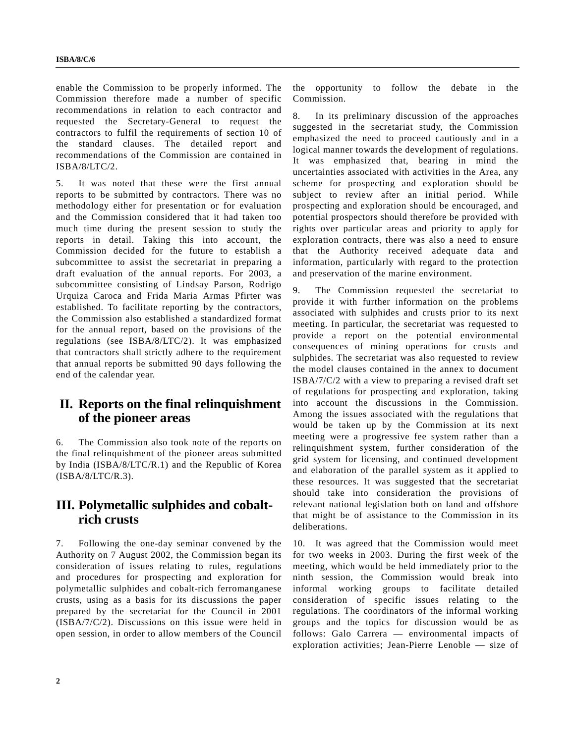enable the Commission to be properly informed. The Commission therefore made a number of specific recommendations in relation to each contractor and requested the Secretary-General to request the contractors to fulfil the requirements of section 10 of the standard clauses. The detailed report and recommendations of the Commission are contained in ISBA/8/LTC/2.

5. It was noted that these were the first annual reports to be submitted by contractors. There was no methodology either for presentation or for evaluation and the Commission considered that it had taken too much time during the present session to study the reports in detail. Taking this into account, the Commission decided for the future to establish a subcommittee to assist the secretariat in preparing a draft evaluation of the annual reports. For 2003, a subcommittee consisting of Lindsay Parson, Rodrigo Urquiza Caroca and Frida Maria Armas Pfirter was established. To facilitate reporting by the contractors, the Commission also established a standardized format for the annual report, based on the provisions of the regulations (see ISBA/8/LTC/2). It was emphasized that contractors shall strictly adhere to the requirement that annual reports be submitted 90 days following the end of the calendar year.

## **II. Reports on the final relinquishment of the pioneer areas**

6. The Commission also took note of the reports on the final relinquishment of the pioneer areas submitted by India (ISBA/8/LTC/R.1) and the Republic of Korea (ISBA/8/LTC/R.3).

### **III. Polymetallic sulphides and cobaltrich crusts**

7. Following the one-day seminar convened by the Authority on 7 August 2002, the Commission began its consideration of issues relating to rules, regulations and procedures for prospecting and exploration for polymetallic sulphides and cobalt-rich ferromanganese crusts, using as a basis for its discussions the paper prepared by the secretariat for the Council in 2001 (ISBA/7/C/2). Discussions on this issue were held in open session, in order to allow members of the Council the opportunity to follow the debate in the Commission.

8. In its preliminary discussion of the approaches suggested in the secretariat study, the Commission emphasized the need to proceed cautiously and in a logical manner towards the development of regulations. It was emphasized that, bearing in mind the uncertainties associated with activities in the Area, any scheme for prospecting and exploration should be subject to review after an initial period. While prospecting and exploration should be encouraged, and potential prospectors should therefore be provided with rights over particular areas and priority to apply for exploration contracts, there was also a need to ensure that the Authority received adequate data and information, particularly with regard to the protection and preservation of the marine environment.

9. The Commission requested the secretariat to provide it with further information on the problems associated with sulphides and crusts prior to its next meeting. In particular, the secretariat was requested to provide a report on the potential environmental consequences of mining operations for crusts and sulphides. The secretariat was also requested to review the model clauses contained in the annex to document ISBA/7/C/2 with a view to preparing a revised draft set of regulations for prospecting and exploration, taking into account the discussions in the Commission. Among the issues associated with the regulations that would be taken up by the Commission at its next meeting were a progressive fee system rather than a relinquishment system, further consideration of the grid system for licensing, and continued development and elaboration of the parallel system as it applied to these resources. It was suggested that the secretariat should take into consideration the provisions of relevant national legislation both on land and offshore that might be of assistance to the Commission in its deliberations.

10. It was agreed that the Commission would meet for two weeks in 2003. During the first week of the meeting, which would be held immediately prior to the ninth session, the Commission would break into informal working groups to facilitate detailed consideration of specific issues relating to the regulations. The coordinators of the informal working groups and the topics for discussion would be as follows: Galo Carrera — environmental impacts of exploration activities; Jean-Pierre Lenoble — size of